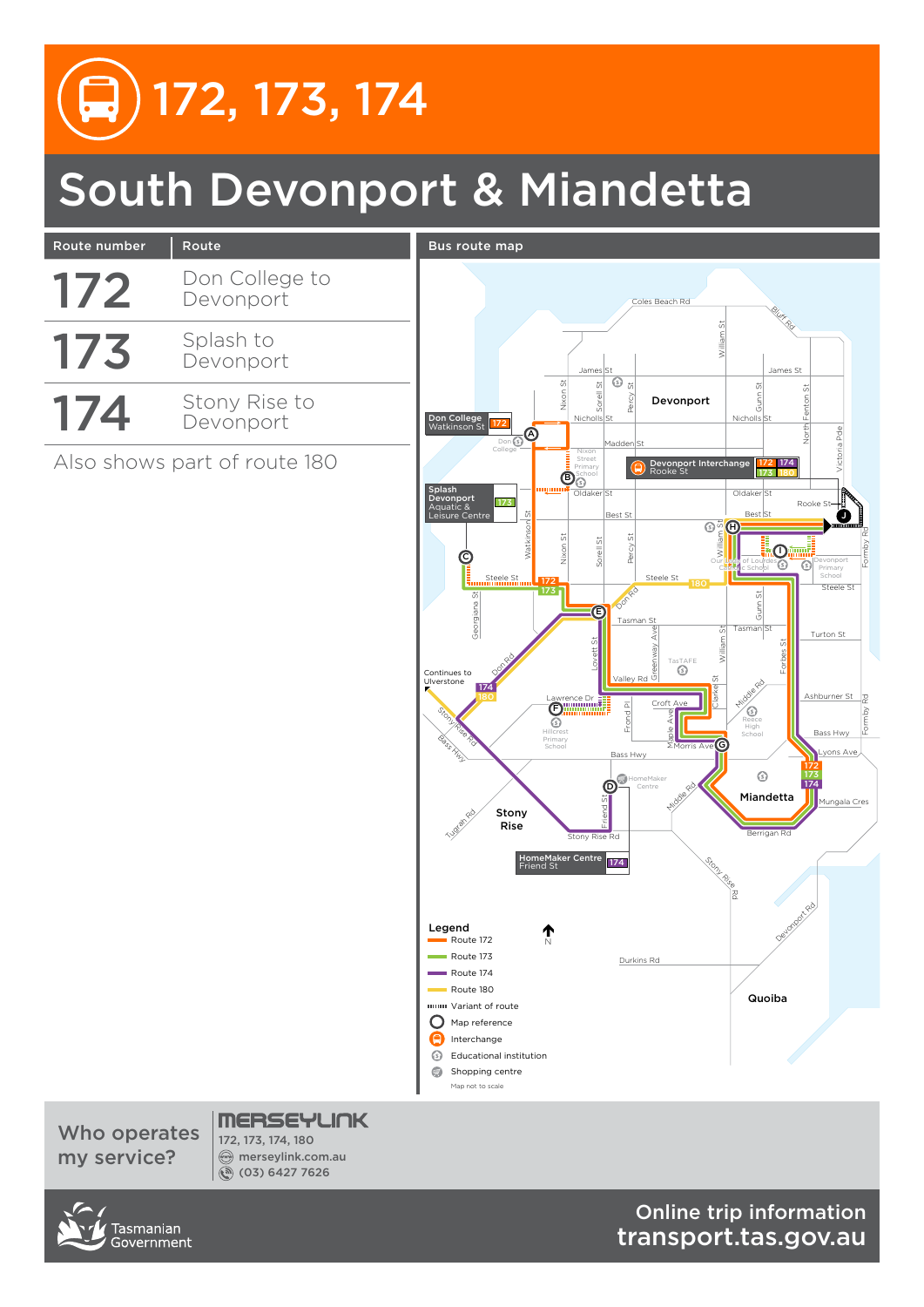# South Devonport & Miandetta



Who operates my service?

172, 173, 174, 180 merseylink.com.au (03) 6427 7626



Online trip information transport.tas.gov.au

172 173

Bass Hwy

Mungala Cres

 $\overline{\text{ns}}$  Ave

Ashburner St

Turton St

Formby Rd Formby Rd

J

Victoria Pde

**Devonport** Primary School

Rooke St

North Fenton St

172 180 174

Nicholls

Gunn St

**Bluff** Rd

iO.

Forbes St

 $\overline{\mathbb{G}^n} \mathbb{\Theta}$ 

William St

Our Lady of Lourdes Catholic School

Gunn St

Tasman St

G

Stony Rise Rd

Clarke St

Reece High

**Berrigan Rc** 

Quoiba

Miandetta

 $\odot$ 

Middle Rd

174

Devoncer Rd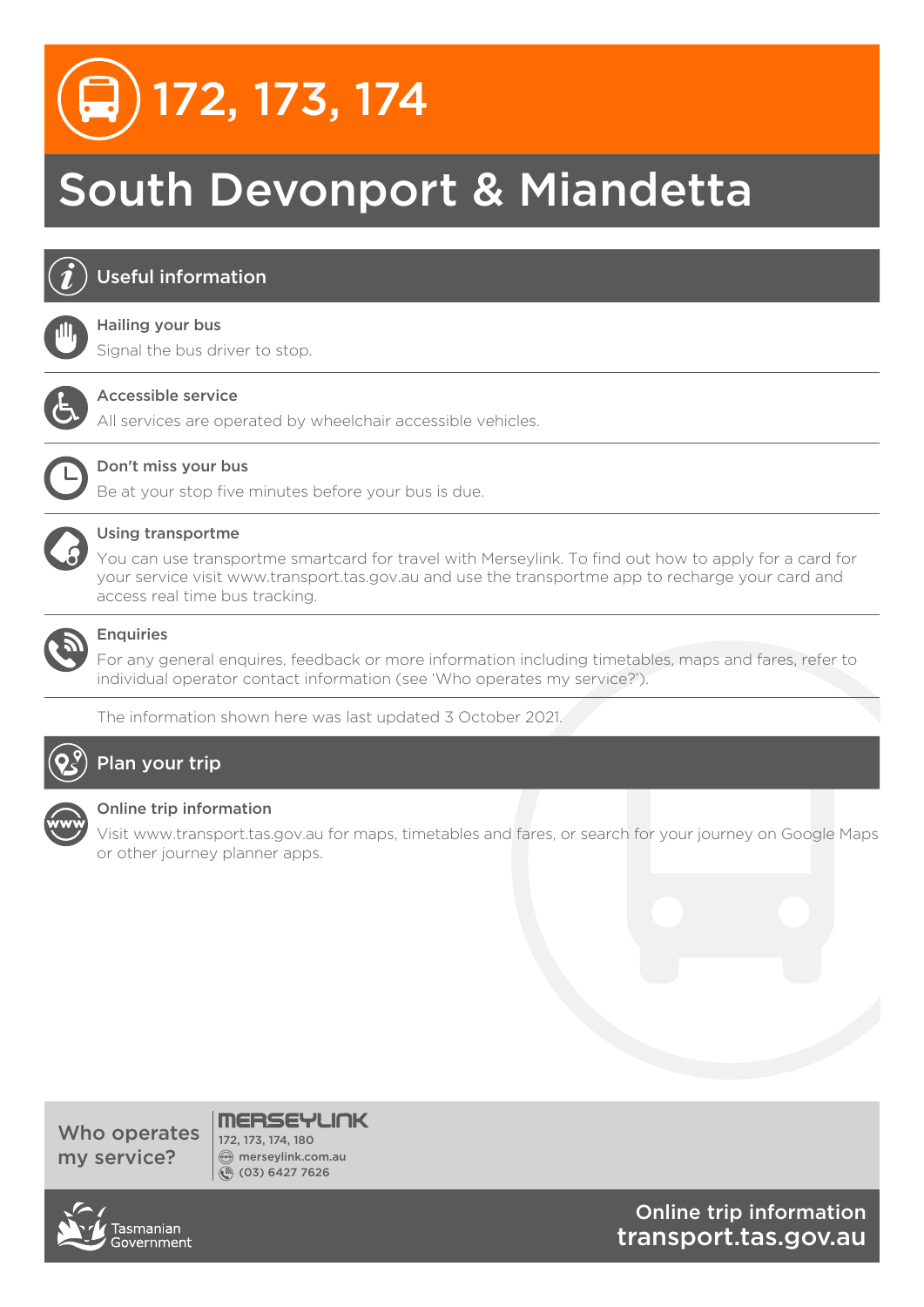# South Devonport & Miandetta



# Useful information

#### Hailing your bus

Signal the bus driver to stop.



### Accessible service

All services are operated by wheelchair accessible vehicles.



## Don't miss your bus

Be at your stop five minutes before your bus is due.



### Using transportme

You can use transportme smartcard for travel with Merseylink. To find out how to apply for a card for your service visit www.transport.tas.gov.au and use the transportme app to recharge your card and access real time bus tracking.



## Enquiries

For any general enquires, feedback or more information including timetables, maps and fares, refer to individual operator contact information (see 'Who operates my service?').

The information shown here was last updated 3 October 2021.



# Plan your trip



#### Online trip information

Visit www.transport.tas.gov.au for maps, timetables and fares, or search for your journey on Google Maps or other journey planner apps.

Who operates my service?



merseylink.com.au (03) 6427 7626



Online trip information transport.tas.gov.au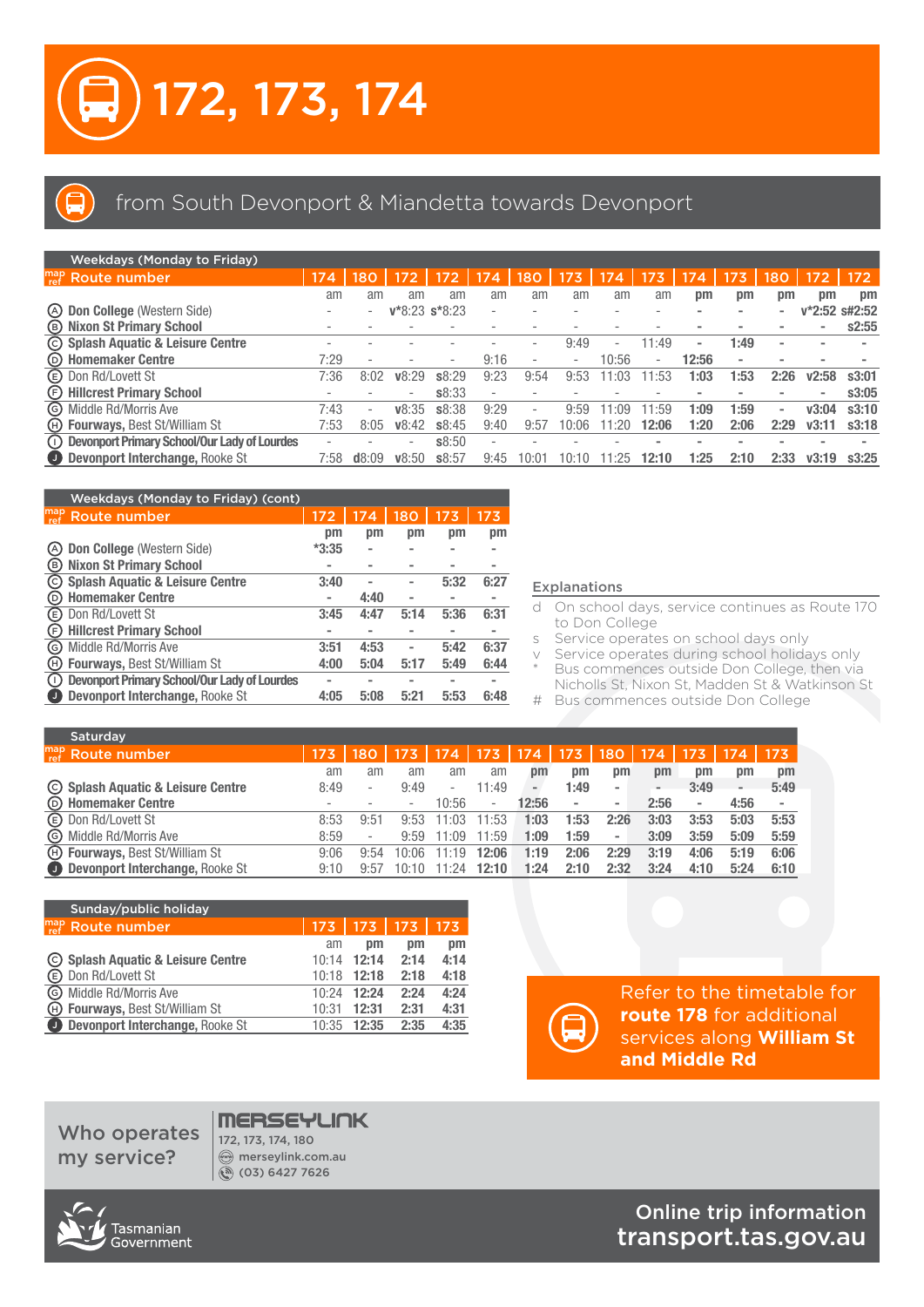

# from South Devonport & Miandetta towards Devonport

| <b>Weekdays (Monday to Friday)</b>                        |        |       |                          |        |                          |      |                          |            |       |       |                          |                          |          |        |
|-----------------------------------------------------------|--------|-------|--------------------------|--------|--------------------------|------|--------------------------|------------|-------|-------|--------------------------|--------------------------|----------|--------|
| $\int_{ref}^{map}$ Route number                           | 174    | 180   | 172                      | 172    | 174                      | 180  | 173                      | 174        | 173   | 174   | 173                      | 180                      |          | 172    |
|                                                           | am     | am    | am                       | am     | am                       | am   | am                       | am         | am    | рm    | pm                       | pm                       | pm       | pm     |
| (A) Don College (Western Side)                            | -      |       | $V*8:23$ s*8:23          |        | $\overline{\phantom{a}}$ |      |                          |            |       |       |                          |                          | $v*2:52$ | s#2:52 |
| <b>B</b> Nixon St Primary School                          | $\sim$ |       |                          |        |                          |      |                          |            |       |       |                          |                          |          | s2:55  |
| C Splash Aquatic & Leisure Centre                         |        |       |                          |        |                          |      | 9:49                     |            | 11:49 | $\,$  | 1:49                     | $\,$                     |          |        |
| (b) Homemaker Centre                                      | 7:29   |       |                          | ٠      | 9:16                     |      | $\overline{\phantom{a}}$ | 10:56      | ۰.    | 12:56 | $\overline{\phantom{0}}$ |                          |          |        |
| <b>E</b> Don Rd/Lovett St                                 | 7:36   | 8:02  | V8:29                    | \$8:29 | 9:23                     | 9:54 | 9:53                     | 1:03       | 1:53  | 1:03  | 1:53                     | 2:26                     | v2:58    | s3:01  |
| (F) Hillcrest Primary School                              | ۰      |       | $\overline{\phantom{a}}$ | \$8:33 | $\overline{\phantom{a}}$ |      |                          |            |       |       |                          | $\,$                     |          | s3:05  |
| © Middle Rd/Morris Ave                                    | 7:43   | ٠     | V8:35                    | \$8:38 | 9:29                     |      | 9:59                     | ۰∩۹        | 1:59  | 1:09  | 1:59                     | $\overline{\phantom{a}}$ | v3:04    | s3:10  |
| (H) Fourways, Best St/William St                          | 7:53   | 8:05  | V8:42                    | \$8:45 | 9:40                     | 9:57 | 0:06                     | $\cdot$ 20 | 12:06 | 1:20  | 2:06                     | 2:29                     | v3:11    | s3:18  |
| <sup>1</sup> Devonport Primary School/Our Lady of Lourdes | ۰      |       |                          | \$8:50 | $\sim$                   |      |                          |            |       |       |                          |                          |          |        |
| Devonport Interchange, Rooke St                           | 7:58   | d8:09 | V8:50                    | \$8:57 | 9:45                     |      | 0:10                     | :25        | 12:10 | 1:25  | 2:10                     | 2:33                     | v3:19    | s3:25  |

| Weekdays (Monday to Friday) (cont)                                                                     |         |      |      |      |      |
|--------------------------------------------------------------------------------------------------------|---------|------|------|------|------|
| $\int_{ref}^{map}$ Route number                                                                        | 172     | 174  | 180  | 173  | 173  |
|                                                                                                        | pm      | pm   | pm   | pm   | pm   |
| Don College (Western Side)<br>(A)                                                                      | $*3:35$ |      |      |      |      |
| <b>Nixon St Primary School</b><br>$\circ$                                                              |         |      |      |      |      |
| <b>Splash Aquatic &amp; Leisure Centre</b><br>$\rm(c)$                                                 | 3:40    |      |      | 5:32 | 6:27 |
| <b>Homemaker Centre</b><br>(D)                                                                         |         | 4:40 |      |      |      |
| Don Rd/Lovett St<br>(E)                                                                                | 3:45    | 4:47 | 5:14 | 5:36 | 6:31 |
| <b>Hillcrest Primary School</b><br>(F)                                                                 |         |      |      |      |      |
| Middle Rd/Morris Ave<br>(G)                                                                            | 3:51    | 4:53 |      | 5:42 | 6:37 |
| <b>Fourways, Best St/William St</b><br>(H)                                                             | 4:00    | 5:04 | 5:17 | 5:49 | 6:44 |
| <b>Devonport Primary School/Our Lady of Lourdes</b><br>$\left( \begin{array}{c} 1 \end{array} \right)$ |         |      |      |      |      |
| Devonport Interchange, Rooke St<br>U)                                                                  | 4:05    | 5:08 | 5:21 | 5:53 | 6:48 |

#### Explanations

- d On school days, service continues as Route 170 to Don College
- s Service operates on school days only

v Service operates during school holidays only Bus commences outside Don College, then via Nicholls St, Nixon St, Madden St & Watkinson St

# Bus commences outside Don College

| Saturday                                |      |                          |       |                          |                          |                          |                          |                          |                              |                          |                          |      |
|-----------------------------------------|------|--------------------------|-------|--------------------------|--------------------------|--------------------------|--------------------------|--------------------------|------------------------------|--------------------------|--------------------------|------|
| $\int_{ref}^{map}$ Route number         | 173  | 180                      | 173   | 174                      | 173/                     | $\sqrt{174}$             | 173                      | 180                      | 174                          | 173                      | 174                      | 173  |
|                                         | am   | am                       | am    | am                       | am                       | pm                       | pm                       | рm                       | pm                           | pm                       | pm                       | pm   |
| © Splash Aquatic & Leisure Centre       | 8:49 | $\overline{\phantom{0}}$ | 9:49  | $\overline{\phantom{a}}$ | 11:49                    | $\overline{\phantom{a}}$ | 1:49                     | $\overline{\phantom{a}}$ | $\qquad \qquad \blacksquare$ | 3:49                     | $\overline{\phantom{0}}$ | 5:49 |
| <b>EXAMPLE MODE HOMEON</b>              |      |                          | ۰     | 10:56                    | $\overline{\phantom{0}}$ | 12:56                    | $\overline{\phantom{a}}$ | $\,$                     | 2:56                         | $\overline{\phantom{a}}$ | 4:56                     |      |
| <b>E</b> Don Rd/Lovett St               | 8:53 | 9:51                     | 9:53  | 11:03                    | 11:53                    | 1:03                     | 1:53                     | 2:26                     | 3:03                         | 3:53                     | 5:03                     | 5:53 |
| © Middle Rd/Morris Ave                  | 8:59 | $\overline{\phantom{a}}$ | 9:59  | 1:09                     | 1:59                     | 1:09                     | 1:59                     | $\overline{\phantom{a}}$ | 3:09                         | 3:59                     | 5:09                     | 5:59 |
| <b>ED Fourways, Best St/William St</b>  | 9:06 | 9:54                     | 10:06 | 1.19                     | 12:06                    | 1:19                     | 2:06                     | 2:29                     | 3:19                         | 4:06                     | 5:19                     | 6:06 |
| <b>Devonport Interchange, Rooke St.</b> | 9:10 | 9:57                     | 10:10 | 11.24                    | 12:10                    | 1:24                     | 2:10                     | 2:32                     | 3:24                         | 4:10                     | 5:24                     | 6:10 |

| Sunday/public holiday                 |       |             |      |      |
|---------------------------------------|-------|-------------|------|------|
| $_{ref}^{map}$ Route number           | 173   | $173$   173 |      | 173  |
|                                       | am    | pm          | pm   | pm   |
| © Splash Aquatic & Leisure Centre     | 10.14 | 12:14       | 2:14 | 4:14 |
| <b>E</b> Don Rd/Lovett St             | 10:18 | 12:18       | 2:18 | 4:18 |
| <b>6</b> Middle Rd/Morris Ave         | 10.24 | 12:24       | 2:24 | 4:24 |
| H Fourways, Best St/William St        | 10:31 | 12:31       | 2:31 | 4:31 |
| Devonport Interchange, Rooke St<br>J. | 10:35 | 12:35       | 2:35 | 4:35 |



Refer to the timetable for **route 178** for additional services along **William St and Middle Rd**

Who operates my service?

# **MERSEYLINK**

172, 173, 174, 180 merseylink.com.au (03) 6427 7626



Online trip information transport.tas.gov.au